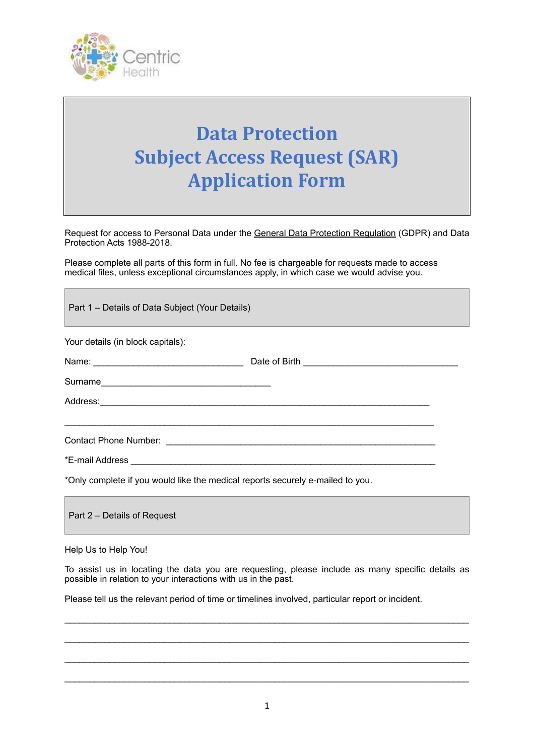

## **Data Protection Subject Access Request (SAR) Application Form**

Request for access to Personal Data under the [General Data Protection Regulation \(](https://eur-lex.europa.eu/legal-content/EN/TXT/PDF/?uri=CELEX:32016R0679&from=EN)GDPR) and Data Protection Acts 1988-2018.

Please complete all parts of this form in full. No fee is chargeable for requests made to access medical files, unless exceptional circumstances apply, in which case we would advise you.

| Part 1 – Details of Data Subject (Your Details)                                                     |                                                                                                 |
|-----------------------------------------------------------------------------------------------------|-------------------------------------------------------------------------------------------------|
| Your details (in block capitals):                                                                   |                                                                                                 |
|                                                                                                     |                                                                                                 |
|                                                                                                     |                                                                                                 |
| Address: Andreas Address: Address: Address: Address: Address: Address: Address: Address: Address: A |                                                                                                 |
|                                                                                                     |                                                                                                 |
|                                                                                                     |                                                                                                 |
|                                                                                                     |                                                                                                 |
| *Only complete if you would like the medical reports securely e-mailed to you.                      |                                                                                                 |
| Part 2 – Details of Request                                                                         |                                                                                                 |
| Help Us to Help You!                                                                                |                                                                                                 |
|                                                                                                     | To assist us in locating the data you are requesting please include as many specific details as |

To assist us in locating the data you are requesting, please include as many specific details as possible in relation to your interactions with us in the past.

 $\mathcal{L}_\text{max}$  , and the set of the set of the set of the set of the set of the set of the set of the set of the set of the set of the set of the set of the set of the set of the set of the set of the set of the set of the

 $\mathcal{L}_\text{max}$  , and the contribution of the contribution of the contribution of the contribution of the contribution of the contribution of the contribution of the contribution of the contribution of the contribution of t

 $\mathcal{L}_\text{max}$  , and the contribution of the contribution of the contribution of the contribution of the contribution of the contribution of the contribution of the contribution of the contribution of the contribution of t

 $\mathcal{L}_\text{max}$  , and the set of the set of the set of the set of the set of the set of the set of the set of the set of the set of the set of the set of the set of the set of the set of the set of the set of the set of the

Please tell us the relevant period of time or timelines involved, particular report or incident.